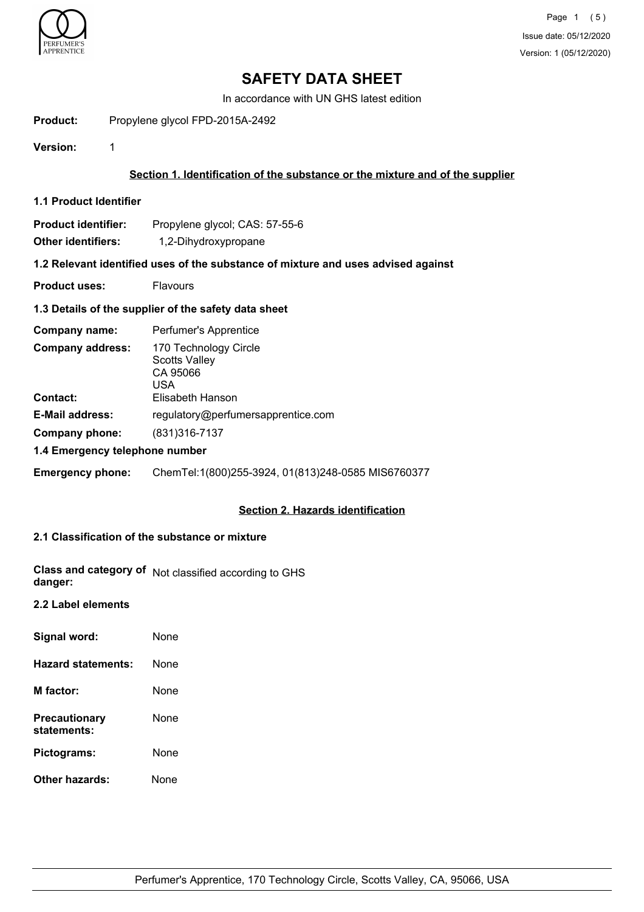

# **SAFETY DATA SHEET**

In accordance with UN GHS latest edition

Product: Propylene glycol FPD-2015A-2492

**Version:** 1

# **Section 1. Identification of the substance or the mixture and of the supplier**

**1.1 Product Identifier**

| <b>Product identifier:</b> | Propylene glycol; CAS: 57-55-6 |
|----------------------------|--------------------------------|
|                            |                                |

**Other identifiers:** 1,2-Dihydroxypropane

# **1.2 Relevant identified uses of the substance of mixture and uses advised against**

**Product uses:** Flavours

## **1.3 Details of the supplier of the safety data sheet**

| Company name:                  | Perfumer's Apprentice                                            |
|--------------------------------|------------------------------------------------------------------|
| <b>Company address:</b>        | 170 Technology Circle<br><b>Scotts Valley</b><br>CA 95066<br>USA |
| <b>Contact:</b>                | Elisabeth Hanson                                                 |
| <b>E-Mail address:</b>         | regulatory@perfumersapprentice.com                               |
| Company phone:                 | (831) 316-7137                                                   |
| 1.4 Emergency telephone number |                                                                  |

**Emergency phone:** ChemTel:1(800)255-3924, 01(813)248-0585 MIS6760377

## **Section 2. Hazards identification**

# **2.1 Classification of the substance or mixture**

|         | Class and category of Not classified according to GHS |
|---------|-------------------------------------------------------|
| danger: |                                                       |

#### **2.2 Label elements**

| Signal word:                        | None |
|-------------------------------------|------|
| <b>Hazard statements:</b>           | None |
| M factor:                           | None |
| <b>Precautionary</b><br>statements: | None |
| Pictograms:                         | None |
| Other hazards:                      | None |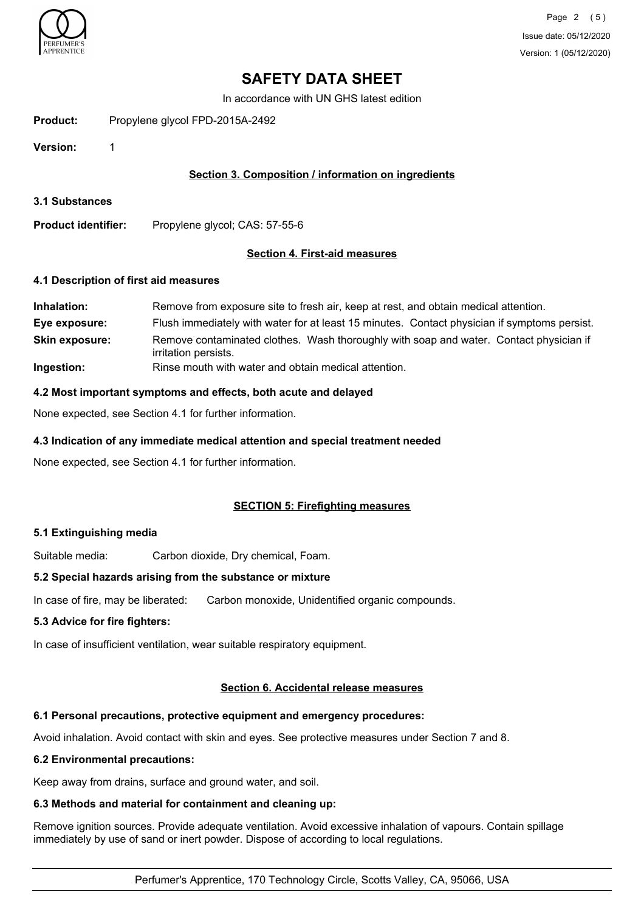

# **SAFETY DATA SHEET**

In accordance with UN GHS latest edition

Product: Propylene glycol FPD-2015A-2492

**Version:** 1

# **Section 3. Composition / information on ingredients**

**3.1 Substances**

**Product identifier:** Propylene glycol; CAS: 57-55-6

#### **Section 4. First-aid measures**

#### **4.1 Description of first aid measures**

| Inhalation:           | Remove from exposure site to fresh air, keep at rest, and obtain medical attention.                            |
|-----------------------|----------------------------------------------------------------------------------------------------------------|
| Eye exposure:         | Flush immediately with water for at least 15 minutes. Contact physician if symptoms persist.                   |
| <b>Skin exposure:</b> | Remove contaminated clothes. Wash thoroughly with soap and water. Contact physician if<br>irritation persists. |
| Ingestion:            | Rinse mouth with water and obtain medical attention.                                                           |

#### **4.2 Most important symptoms and effects, both acute and delayed**

None expected, see Section 4.1 for further information.

#### **4.3 Indication of any immediate medical attention and special treatment needed**

None expected, see Section 4.1 for further information.

## **SECTION 5: Firefighting measures**

#### **5.1 Extinguishing media**

Suitable media: Carbon dioxide, Dry chemical, Foam.

#### **5.2 Special hazards arising from the substance or mixture**

In case of fire, may be liberated: Carbon monoxide, Unidentified organic compounds.

### **5.3 Advice for fire fighters:**

In case of insufficient ventilation, wear suitable respiratory equipment.

#### **Section 6. Accidental release measures**

## **6.1 Personal precautions, protective equipment and emergency procedures:**

Avoid inhalation. Avoid contact with skin and eyes. See protective measures under Section 7 and 8.

#### **6.2 Environmental precautions:**

Keep away from drains, surface and ground water, and soil.

#### **6.3 Methods and material for containment and cleaning up:**

Remove ignition sources. Provide adequate ventilation. Avoid excessive inhalation of vapours. Contain spillage immediately by use of sand or inert powder. Dispose of according to local regulations.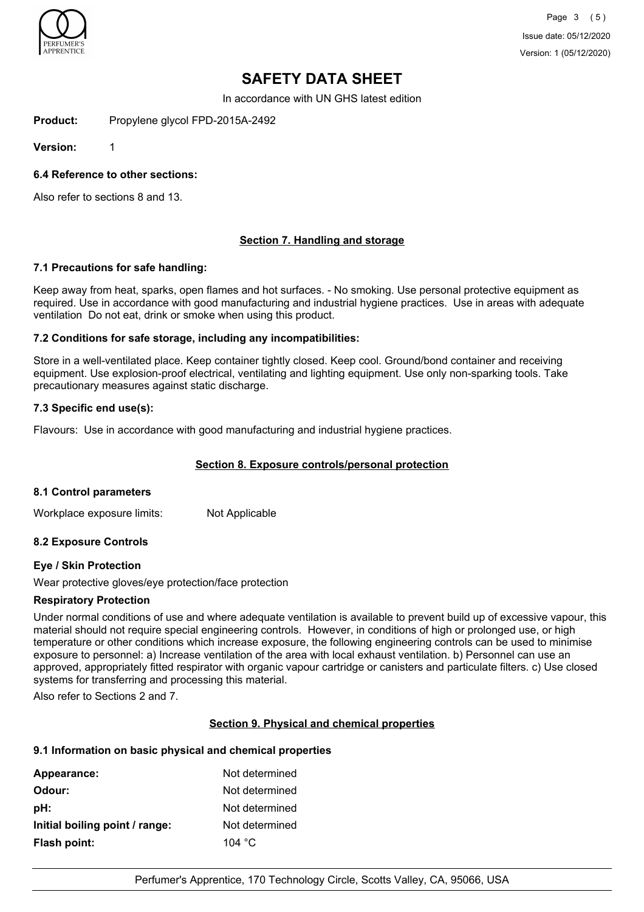

Page 3 (5) Issue date: 05/12/2020 Version: 1 (05/12/2020)

# **SAFETY DATA SHEET**

In accordance with UN GHS latest edition

Product: Propylene glycol FPD-2015A-2492

**Version:** 1

**6.4 Reference to other sections:**

Also refer to sections 8 and 13.

## **Section 7. Handling and storage**

## **7.1 Precautions for safe handling:**

Keep away from heat, sparks, open flames and hot surfaces. - No smoking. Use personal protective equipment as required. Use in accordance with good manufacturing and industrial hygiene practices. Use in areas with adequate ventilation Do not eat, drink or smoke when using this product.

## **7.2 Conditions for safe storage, including any incompatibilities:**

Store in a well-ventilated place. Keep container tightly closed. Keep cool. Ground/bond container and receiving equipment. Use explosion-proof electrical, ventilating and lighting equipment. Use only non-sparking tools. Take precautionary measures against static discharge.

## **7.3 Specific end use(s):**

Flavours: Use in accordance with good manufacturing and industrial hygiene practices.

## **Section 8. Exposure controls/personal protection**

## **8.1 Control parameters**

Workplace exposure limits: Not Applicable

## **8.2 Exposure Controls**

## **Eye / Skin Protection**

Wear protective gloves/eye protection/face protection

#### **Respiratory Protection**

Under normal conditions of use and where adequate ventilation is available to prevent build up of excessive vapour, this material should not require special engineering controls. However, in conditions of high or prolonged use, or high temperature or other conditions which increase exposure, the following engineering controls can be used to minimise exposure to personnel: a) Increase ventilation of the area with local exhaust ventilation. b) Personnel can use an approved, appropriately fitted respirator with organic vapour cartridge or canisters and particulate filters. c) Use closed systems for transferring and processing this material.

Also refer to Sections 2 and 7.

## **Section 9. Physical and chemical properties**

## **9.1 Information on basic physical and chemical properties**

| Appearance:                    | Not determined  |
|--------------------------------|-----------------|
| Odour:                         | Not determined  |
| pH:                            | Not determined  |
| Initial boiling point / range: | Not determined  |
| <b>Flash point:</b>            | 104 $\degree$ C |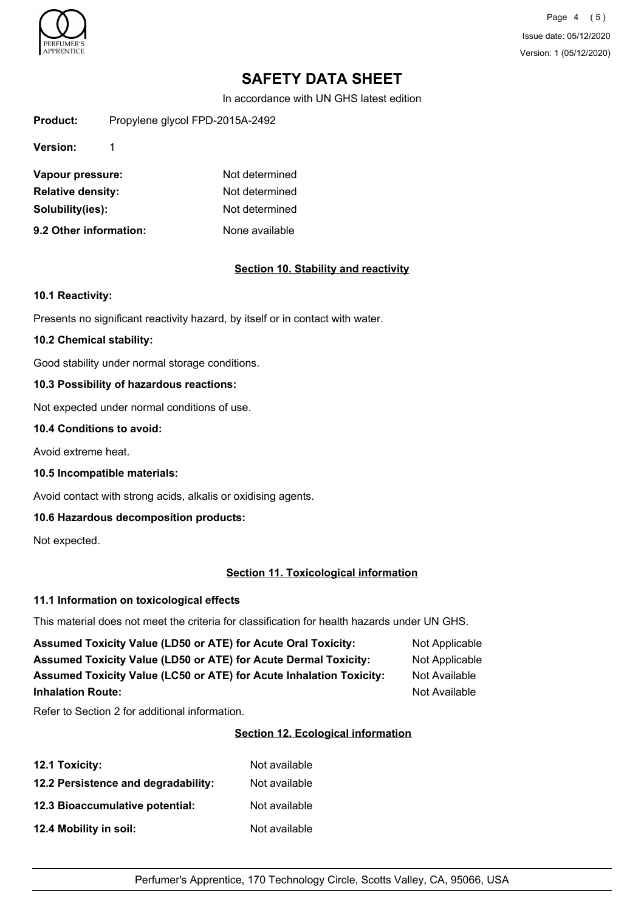

Page 4 (5) Issue date: 05/12/2020 Version: 1 (05/12/2020)

# **SAFETY DATA SHEET**

In accordance with UN GHS latest edition

Product: Propylene glycol FPD-2015A-2492

**Version:** 1

| Vapour pressure:         | Not determined |
|--------------------------|----------------|
| <b>Relative density:</b> | Not determined |
| Solubility(ies):         | Not determined |
| 9.2 Other information:   | None available |

## **Section 10. Stability and reactivity**

### **10.1 Reactivity:**

Presents no significant reactivity hazard, by itself or in contact with water.

### **10.2 Chemical stability:**

Good stability under normal storage conditions.

## **10.3 Possibility of hazardous reactions:**

Not expected under normal conditions of use.

### **10.4 Conditions to avoid:**

Avoid extreme heat.

**10.5 Incompatible materials:**

Avoid contact with strong acids, alkalis or oxidising agents.

## **10.6 Hazardous decomposition products:**

Not expected.

## **Section 11. Toxicological information**

## **11.1 Information on toxicological effects**

This material does not meet the criteria for classification for health hazards under UN GHS.

| <b>Assumed Toxicity Value (LD50 or ATE) for Acute Oral Toxicity:</b>       | Not Applicable |
|----------------------------------------------------------------------------|----------------|
| <b>Assumed Toxicity Value (LD50 or ATE) for Acute Dermal Toxicity:</b>     | Not Applicable |
| <b>Assumed Toxicity Value (LC50 or ATE) for Acute Inhalation Toxicity:</b> | Not Available  |
| <b>Inhalation Route:</b>                                                   | Not Available  |

Refer to Section 2 for additional information.

# **Section 12. Ecological information**

| <b>12.1 Toxicity:</b>               | Not available |
|-------------------------------------|---------------|
| 12.2 Persistence and degradability: | Not available |
| 12.3 Bioaccumulative potential:     | Not available |
| 12.4 Mobility in soil:              | Not available |